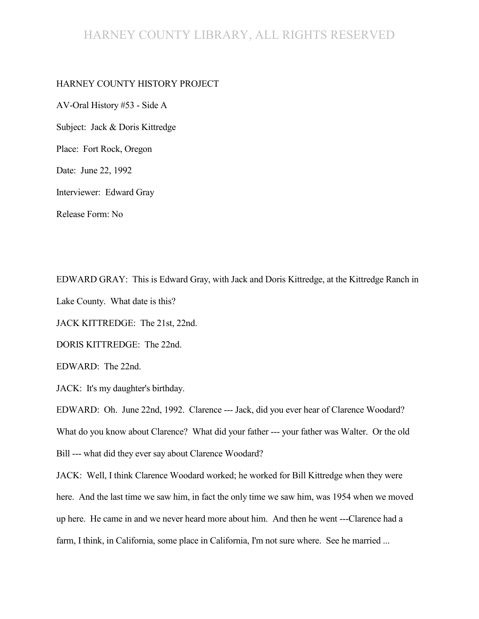## HARNEY COUNTY LIBRARY, ALL RIGHTS RESERVED

#### HARNEY COUNTY HISTORY PROJECT

AV-Oral History #53 - Side A Subject: Jack & Doris Kittredge Place: Fort Rock, Oregon Date: June 22, 1992

Interviewer: Edward Gray

Release Form: No

EDWARD GRAY: This is Edward Gray, with Jack and Doris Kittredge, at the Kittredge Ranch in Lake County. What date is this?

JACK KITTREDGE: The 21st, 22nd.

DORIS KITTREDGE: The 22nd.

EDWARD: The 22nd.

JACK: It's my daughter's birthday.

EDWARD: Oh. June 22nd, 1992. Clarence --- Jack, did you ever hear of Clarence Woodard? What do you know about Clarence? What did your father --- your father was Walter. Or the old Bill --- what did they ever say about Clarence Woodard?

JACK: Well, I think Clarence Woodard worked; he worked for Bill Kittredge when they were here. And the last time we saw him, in fact the only time we saw him, was 1954 when we moved up here. He came in and we never heard more about him. And then he went ---Clarence had a farm, I think, in California, some place in California, I'm not sure where. See he married ...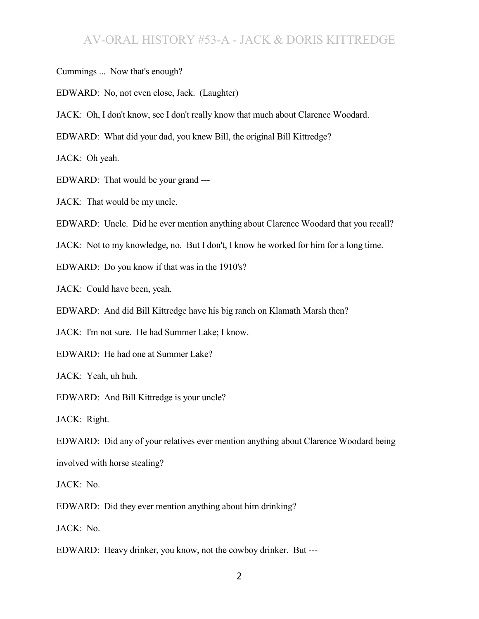- Cummings ... Now that's enough?
- EDWARD: No, not even close, Jack. (Laughter)
- JACK: Oh, I don't know, see I don't really know that much about Clarence Woodard.
- EDWARD: What did your dad, you knew Bill, the original Bill Kittredge?

JACK: Oh yeah.

- EDWARD: That would be your grand ---
- JACK: That would be my uncle.
- EDWARD: Uncle. Did he ever mention anything about Clarence Woodard that you recall?
- JACK: Not to my knowledge, no. But I don't, I know he worked for him for a long time.
- EDWARD: Do you know if that was in the 1910's?
- JACK: Could have been, yeah.
- EDWARD: And did Bill Kittredge have his big ranch on Klamath Marsh then?
- JACK: I'm not sure. He had Summer Lake; I know.
- EDWARD: He had one at Summer Lake?

JACK: Yeah, uh huh.

EDWARD: And Bill Kittredge is your uncle?

JACK: Right.

EDWARD: Did any of your relatives ever mention anything about Clarence Woodard being involved with horse stealing?

JACK: No.

EDWARD: Did they ever mention anything about him drinking?

JACK: No.

EDWARD: Heavy drinker, you know, not the cowboy drinker. But ---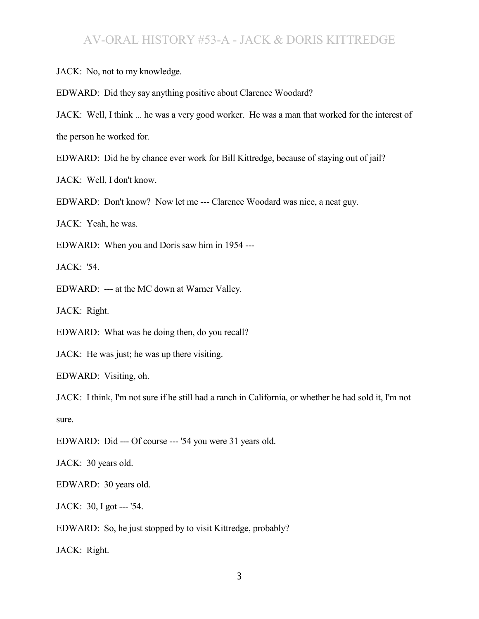JACK: No, not to my knowledge.

EDWARD: Did they say anything positive about Clarence Woodard?

JACK: Well, I think ... he was a very good worker. He was a man that worked for the interest of the person he worked for.

EDWARD: Did he by chance ever work for Bill Kittredge, because of staying out of jail?

JACK: Well, I don't know.

EDWARD: Don't know? Now let me --- Clarence Woodard was nice, a neat guy.

JACK: Yeah, he was.

EDWARD: When you and Doris saw him in 1954 ---

JACK: '54.

EDWARD: --- at the MC down at Warner Valley.

JACK: Right.

EDWARD: What was he doing then, do you recall?

JACK: He was just; he was up there visiting.

EDWARD: Visiting, oh.

JACK: I think, I'm not sure if he still had a ranch in California, or whether he had sold it, I'm not sure.

EDWARD: Did --- Of course --- '54 you were 31 years old.

JACK: 30 years old.

EDWARD: 30 years old.

JACK: 30, I got --- '54.

EDWARD: So, he just stopped by to visit Kittredge, probably?

JACK: Right.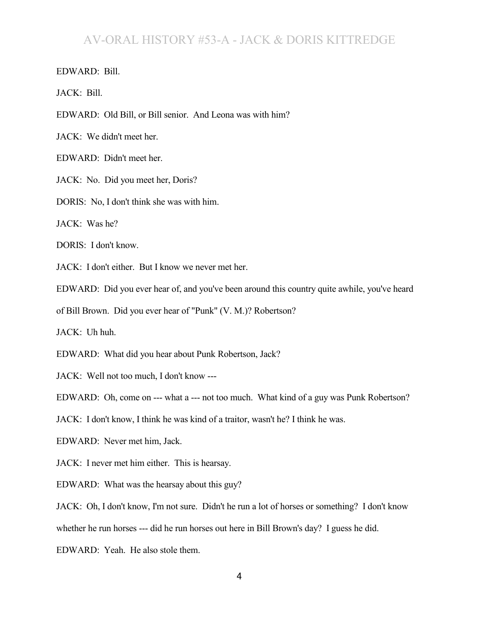EDWARD: Bill.

JACK: Bill.

EDWARD: Old Bill, or Bill senior. And Leona was with him?

JACK: We didn't meet her.

EDWARD: Didn't meet her.

JACK: No. Did you meet her, Doris?

DORIS: No, I don't think she was with him.

JACK: Was he?

DORIS: I don't know.

JACK: I don't either. But I know we never met her.

EDWARD: Did you ever hear of, and you've been around this country quite awhile, you've heard

of Bill Brown. Did you ever hear of "Punk" (V. M.)? Robertson?

JACK: Uh huh.

EDWARD: What did you hear about Punk Robertson, Jack?

JACK: Well not too much, I don't know ---

EDWARD: Oh, come on --- what a --- not too much. What kind of a guy was Punk Robertson?

JACK: I don't know, I think he was kind of a traitor, wasn't he? I think he was.

EDWARD: Never met him, Jack.

JACK: I never met him either. This is hearsay.

EDWARD: What was the hearsay about this guy?

JACK: Oh, I don't know, I'm not sure. Didn't he run a lot of horses or something? I don't know

whether he run horses --- did he run horses out here in Bill Brown's day? I guess he did.

EDWARD: Yeah. He also stole them.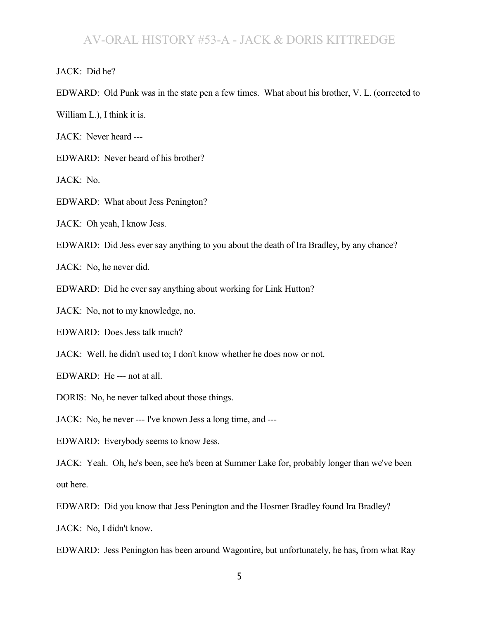JACK: Did he?

EDWARD: Old Punk was in the state pen a few times. What about his brother, V. L. (corrected to

William L.), I think it is.

JACK: Never heard ---

EDWARD: Never heard of his brother?

JACK: No.

EDWARD: What about Jess Penington?

JACK: Oh yeah, I know Jess.

EDWARD: Did Jess ever say anything to you about the death of Ira Bradley, by any chance?

JACK: No, he never did.

EDWARD: Did he ever say anything about working for Link Hutton?

JACK: No, not to my knowledge, no.

EDWARD: Does Jess talk much?

JACK: Well, he didn't used to; I don't know whether he does now or not.

EDWARD: He --- not at all.

DORIS: No, he never talked about those things.

JACK: No, he never --- I've known Jess a long time, and ---

EDWARD: Everybody seems to know Jess.

JACK: Yeah. Oh, he's been, see he's been at Summer Lake for, probably longer than we've been out here.

EDWARD: Did you know that Jess Penington and the Hosmer Bradley found Ira Bradley?

JACK: No, I didn't know.

EDWARD: Jess Penington has been around Wagontire, but unfortunately, he has, from what Ray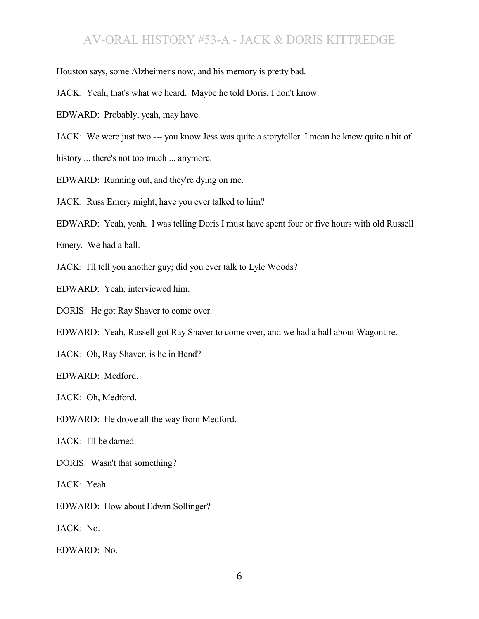Houston says, some Alzheimer's now, and his memory is pretty bad.

JACK: Yeah, that's what we heard. Maybe he told Doris, I don't know.

EDWARD: Probably, yeah, may have.

JACK: We were just two --- you know Jess was quite a storyteller. I mean he knew quite a bit of

history ... there's not too much ... anymore.

EDWARD: Running out, and they're dying on me.

JACK: Russ Emery might, have you ever talked to him?

EDWARD: Yeah, yeah. I was telling Doris I must have spent four or five hours with old Russell

Emery. We had a ball.

JACK: I'll tell you another guy; did you ever talk to Lyle Woods?

EDWARD: Yeah, interviewed him.

DORIS: He got Ray Shaver to come over.

EDWARD: Yeah, Russell got Ray Shaver to come over, and we had a ball about Wagontire.

JACK: Oh, Ray Shaver, is he in Bend?

EDWARD: Medford.

JACK: Oh, Medford.

EDWARD: He drove all the way from Medford.

JACK: I'll be darned.

DORIS: Wasn't that something?

JACK: Yeah.

EDWARD: How about Edwin Sollinger?

JACK: No.

EDWARD: No.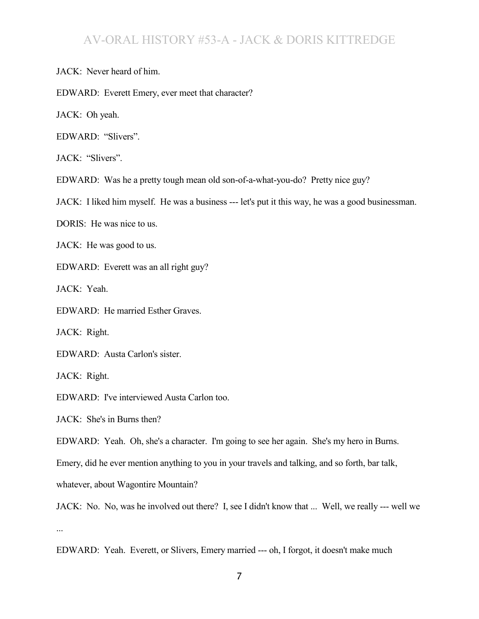JACK: Never heard of him.

EDWARD: Everett Emery, ever meet that character?

JACK: Oh yeah.

EDWARD: "Slivers".

JACK: "Slivers".

EDWARD: Was he a pretty tough mean old son-of-a-what-you-do? Pretty nice guy?

JACK: I liked him myself. He was a business --- let's put it this way, he was a good businessman.

DORIS: He was nice to us.

JACK: He was good to us.

EDWARD: Everett was an all right guy?

JACK: Yeah.

EDWARD: He married Esther Graves.

JACK: Right.

EDWARD: Austa Carlon's sister.

JACK: Right.

EDWARD: I've interviewed Austa Carlon too.

JACK: She's in Burns then?

EDWARD: Yeah. Oh, she's a character. I'm going to see her again. She's my hero in Burns.

Emery, did he ever mention anything to you in your travels and talking, and so forth, bar talk,

whatever, about Wagontire Mountain?

JACK: No. No, was he involved out there? I, see I didn't know that ... Well, we really --- well we ...

EDWARD: Yeah. Everett, or Slivers, Emery married --- oh, I forgot, it doesn't make much

7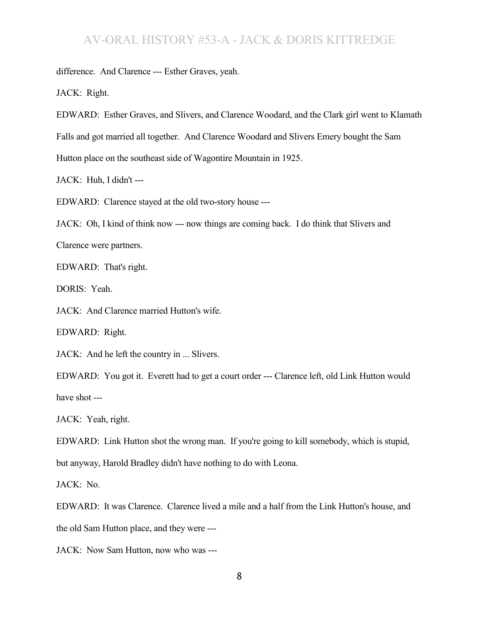difference. And Clarence --- Esther Graves, yeah.

JACK: Right.

EDWARD: Esther Graves, and Slivers, and Clarence Woodard, and the Clark girl went to Klamath Falls and got married all together. And Clarence Woodard and Slivers Emery bought the Sam Hutton place on the southeast side of Wagontire Mountain in 1925.

JACK: Huh, I didn't ---

EDWARD: Clarence stayed at the old two-story house ---

JACK: Oh, I kind of think now --- now things are coming back. I do think that Slivers and Clarence were partners.

EDWARD: That's right.

DORIS: Yeah.

JACK: And Clarence married Hutton's wife.

EDWARD: Right.

JACK: And he left the country in ... Slivers.

EDWARD: You got it. Everett had to get a court order --- Clarence left, old Link Hutton would have shot ---

JACK: Yeah, right.

EDWARD: Link Hutton shot the wrong man. If you're going to kill somebody, which is stupid,

but anyway, Harold Bradley didn't have nothing to do with Leona.

JACK: No.

EDWARD: It was Clarence. Clarence lived a mile and a half from the Link Hutton's house, and the old Sam Hutton place, and they were ---

JACK: Now Sam Hutton, now who was ---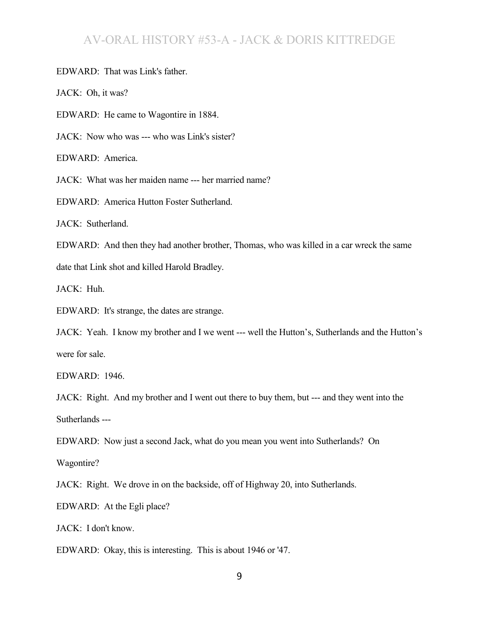EDWARD: That was Link's father.

JACK: Oh, it was?

EDWARD: He came to Wagontire in 1884.

JACK: Now who was --- who was Link's sister?

EDWARD: America.

JACK: What was her maiden name --- her married name?

EDWARD: America Hutton Foster Sutherland.

JACK: Sutherland.

EDWARD: And then they had another brother, Thomas, who was killed in a car wreck the same date that Link shot and killed Harold Bradley.

JACK: Huh.

EDWARD: It's strange, the dates are strange.

JACK: Yeah. I know my brother and I we went --- well the Hutton's, Sutherlands and the Hutton's were for sale.

EDWARD: 1946.

JACK: Right. And my brother and I went out there to buy them, but --- and they went into the Sutherlands ---

EDWARD: Now just a second Jack, what do you mean you went into Sutherlands? On

Wagontire?

JACK: Right. We drove in on the backside, off of Highway 20, into Sutherlands.

EDWARD: At the Egli place?

JACK: I don't know.

EDWARD: Okay, this is interesting. This is about 1946 or '47.

9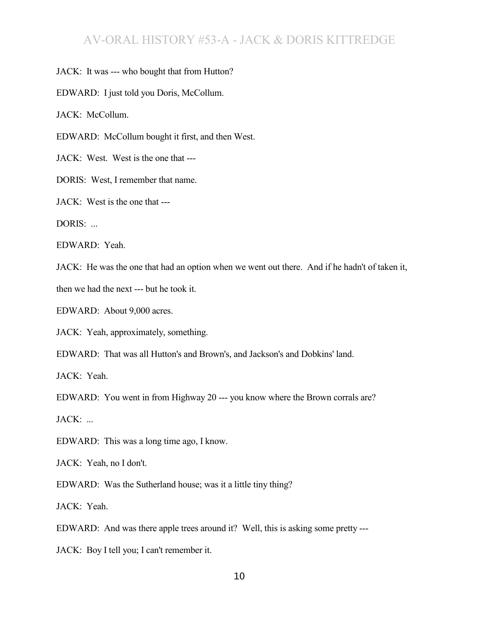JACK: It was --- who bought that from Hutton?

EDWARD: I just told you Doris, McCollum.

JACK: McCollum.

EDWARD: McCollum bought it first, and then West.

JACK: West. West is the one that ---

DORIS: West, I remember that name.

JACK: West is the one that ---

DORIS: ...

EDWARD: Yeah.

JACK: He was the one that had an option when we went out there. And if he hadn't of taken it,

then we had the next --- but he took it.

EDWARD: About 9,000 acres.

JACK: Yeah, approximately, something.

EDWARD: That was all Hutton's and Brown's, and Jackson's and Dobkins' land.

JACK: Yeah.

EDWARD: You went in from Highway 20 --- you know where the Brown corrals are?

JACK: ...

EDWARD: This was a long time ago, I know.

JACK: Yeah, no I don't.

EDWARD: Was the Sutherland house; was it a little tiny thing?

JACK: Yeah.

EDWARD: And was there apple trees around it? Well, this is asking some pretty ---

JACK: Boy I tell you; I can't remember it.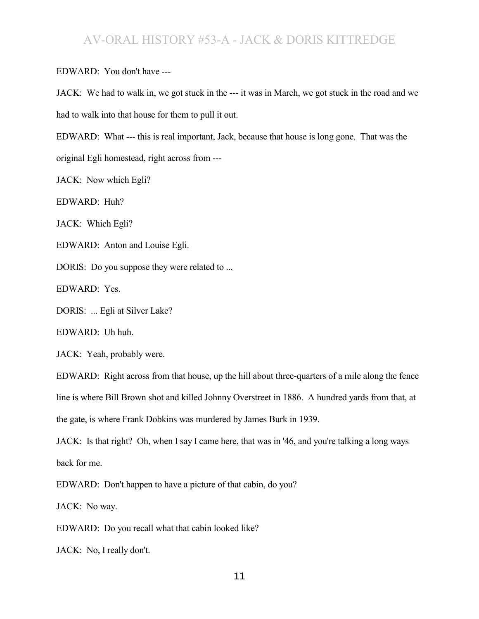EDWARD: You don't have ---

JACK: We had to walk in, we got stuck in the --- it was in March, we got stuck in the road and we had to walk into that house for them to pull it out.

EDWARD: What --- this is real important, Jack, because that house is long gone. That was the original Egli homestead, right across from ---

JACK: Now which Egli?

EDWARD: Huh?

JACK: Which Egli?

EDWARD: Anton and Louise Egli.

DORIS: Do you suppose they were related to ...

EDWARD: Yes.

DORIS: ... Egli at Silver Lake?

EDWARD: Uh huh.

JACK: Yeah, probably were.

EDWARD: Right across from that house, up the hill about three-quarters of a mile along the fence line is where Bill Brown shot and killed Johnny Overstreet in 1886. A hundred yards from that, at the gate, is where Frank Dobkins was murdered by James Burk in 1939.

JACK: Is that right? Oh, when I say I came here, that was in '46, and you're talking a long ways back for me.

EDWARD: Don't happen to have a picture of that cabin, do you?

JACK: No way.

EDWARD: Do you recall what that cabin looked like?

JACK: No, I really don't.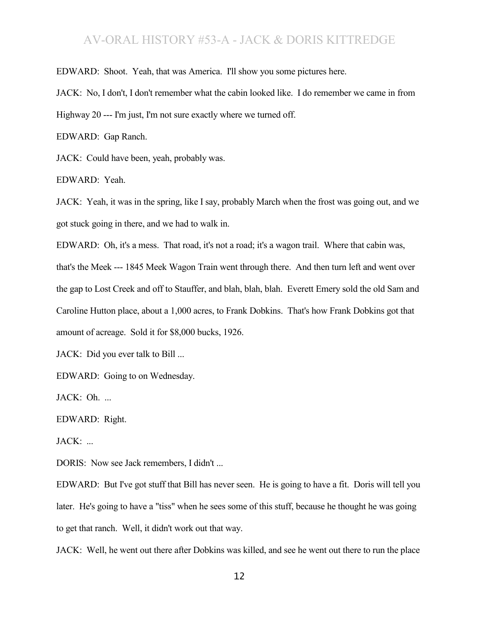EDWARD: Shoot. Yeah, that was America. I'll show you some pictures here.

JACK: No, I don't, I don't remember what the cabin looked like. I do remember we came in from

Highway 20 --- I'm just, I'm not sure exactly where we turned off.

EDWARD: Gap Ranch.

JACK: Could have been, yeah, probably was.

EDWARD: Yeah.

JACK: Yeah, it was in the spring, like I say, probably March when the frost was going out, and we got stuck going in there, and we had to walk in.

EDWARD: Oh, it's a mess. That road, it's not a road; it's a wagon trail. Where that cabin was,

that's the Meek --- 1845 Meek Wagon Train went through there. And then turn left and went over the gap to Lost Creek and off to Stauffer, and blah, blah, blah. Everett Emery sold the old Sam and Caroline Hutton place, about a 1,000 acres, to Frank Dobkins. That's how Frank Dobkins got that amount of acreage. Sold it for \$8,000 bucks, 1926.

JACK: Did you ever talk to Bill ...

EDWARD: Going to on Wednesday.

JACK: Oh. ...

EDWARD: Right.

 $JACK:$ ...

DORIS: Now see Jack remembers, I didn't ...

EDWARD: But I've got stuff that Bill has never seen. He is going to have a fit. Doris will tell you later. He's going to have a "tiss" when he sees some of this stuff, because he thought he was going to get that ranch. Well, it didn't work out that way.

JACK: Well, he went out there after Dobkins was killed, and see he went out there to run the place

12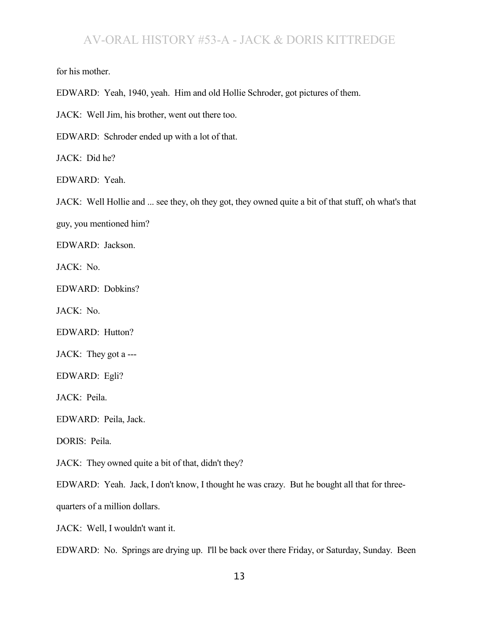for his mother.

EDWARD: Yeah, 1940, yeah. Him and old Hollie Schroder, got pictures of them.

JACK: Well Jim, his brother, went out there too.

EDWARD: Schroder ended up with a lot of that.

JACK: Did he?

EDWARD: Yeah.

JACK: Well Hollie and ... see they, oh they got, they owned quite a bit of that stuff, oh what's that

guy, you mentioned him?

EDWARD: Jackson.

JACK: No.

EDWARD: Dobkins?

JACK: No.

EDWARD: Hutton?

JACK: They got a ---

EDWARD: Egli?

JACK: Peila.

EDWARD: Peila, Jack.

DORIS: Peila.

JACK: They owned quite a bit of that, didn't they?

EDWARD: Yeah. Jack, I don't know, I thought he was crazy. But he bought all that for three-

quarters of a million dollars.

JACK: Well, I wouldn't want it.

EDWARD: No. Springs are drying up. I'll be back over there Friday, or Saturday, Sunday. Been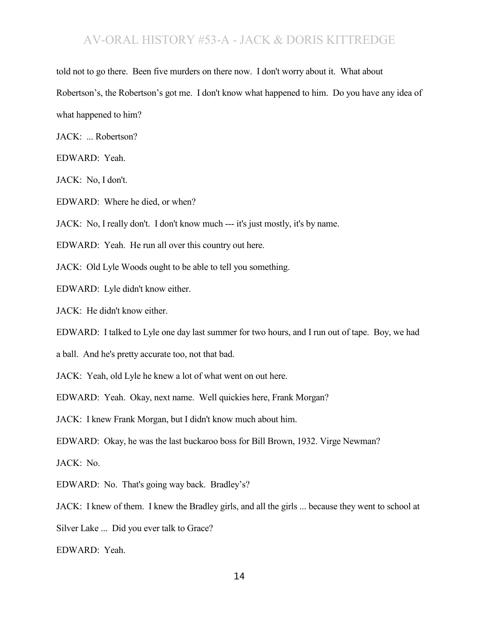told not to go there. Been five murders on there now. I don't worry about it. What about Robertson's, the Robertson's got me. I don't know what happened to him. Do you have any idea of what happened to him?

JACK: ... Robertson?

EDWARD: Yeah.

JACK: No, I don't.

EDWARD: Where he died, or when?

JACK: No, I really don't. I don't know much --- it's just mostly, it's by name.

EDWARD: Yeah. He run all over this country out here.

JACK: Old Lyle Woods ought to be able to tell you something.

EDWARD: Lyle didn't know either.

JACK: He didn't know either.

EDWARD: I talked to Lyle one day last summer for two hours, and I run out of tape. Boy, we had

a ball. And he's pretty accurate too, not that bad.

JACK: Yeah, old Lyle he knew a lot of what went on out here.

EDWARD: Yeah. Okay, next name. Well quickies here, Frank Morgan?

JACK: I knew Frank Morgan, but I didn't know much about him.

EDWARD: Okay, he was the last buckaroo boss for Bill Brown, 1932. Virge Newman?

JACK: No.

EDWARD: No. That's going way back. Bradley's?

JACK: I knew of them. I knew the Bradley girls, and all the girls ... because they went to school at

Silver Lake ... Did you ever talk to Grace?

EDWARD: Yeah.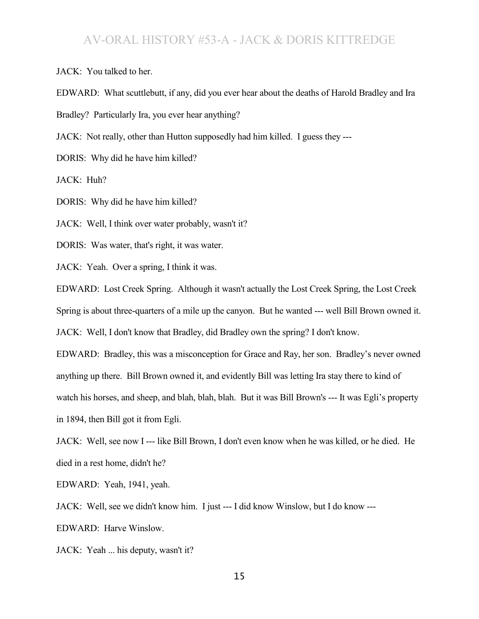JACK: You talked to her.

EDWARD: What scuttlebutt, if any, did you ever hear about the deaths of Harold Bradley and Ira

Bradley? Particularly Ira, you ever hear anything?

JACK: Not really, other than Hutton supposedly had him killed. I guess they ---

DORIS: Why did he have him killed?

JACK: Huh?

DORIS: Why did he have him killed?

JACK: Well, I think over water probably, wasn't it?

DORIS: Was water, that's right, it was water.

JACK: Yeah. Over a spring, I think it was.

EDWARD: Lost Creek Spring. Although it wasn't actually the Lost Creek Spring, the Lost Creek

Spring is about three-quarters of a mile up the canyon. But he wanted --- well Bill Brown owned it.

JACK: Well, I don't know that Bradley, did Bradley own the spring? I don't know.

EDWARD: Bradley, this was a misconception for Grace and Ray, her son. Bradley's never owned anything up there. Bill Brown owned it, and evidently Bill was letting Ira stay there to kind of watch his horses, and sheep, and blah, blah, blah. But it was Bill Brown's --- It was Egli's property in 1894, then Bill got it from Egli.

JACK: Well, see now I --- like Bill Brown, I don't even know when he was killed, or he died. He died in a rest home, didn't he?

EDWARD: Yeah, 1941, yeah.

JACK: Well, see we didn't know him. I just --- I did know Winslow, but I do know ---

EDWARD: Harve Winslow.

JACK: Yeah ... his deputy, wasn't it?

15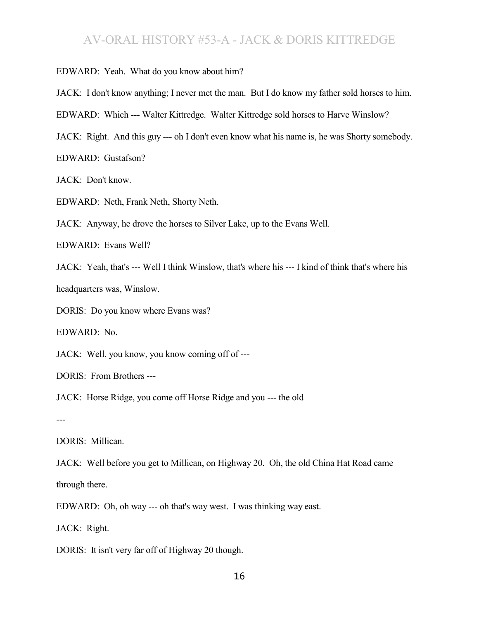EDWARD: Yeah. What do you know about him?

JACK: I don't know anything; I never met the man. But I do know my father sold horses to him.

EDWARD: Which --- Walter Kittredge. Walter Kittredge sold horses to Harve Winslow?

JACK: Right. And this guy --- oh I don't even know what his name is, he was Shorty somebody.

EDWARD: Gustafson?

JACK: Don't know.

EDWARD: Neth, Frank Neth, Shorty Neth.

JACK: Anyway, he drove the horses to Silver Lake, up to the Evans Well.

EDWARD: Evans Well?

JACK: Yeah, that's --- Well I think Winslow, that's where his --- I kind of think that's where his

headquarters was, Winslow.

DORIS: Do you know where Evans was?

EDWARD: No.

JACK: Well, you know, you know coming off of ---

DORIS: From Brothers ---

JACK: Horse Ridge, you come off Horse Ridge and you --- the old

---

DORIS: Millican.

JACK: Well before you get to Millican, on Highway 20. Oh, the old China Hat Road came through there.

EDWARD: Oh, oh way --- oh that's way west. I was thinking way east.

JACK: Right.

DORIS: It isn't very far off of Highway 20 though.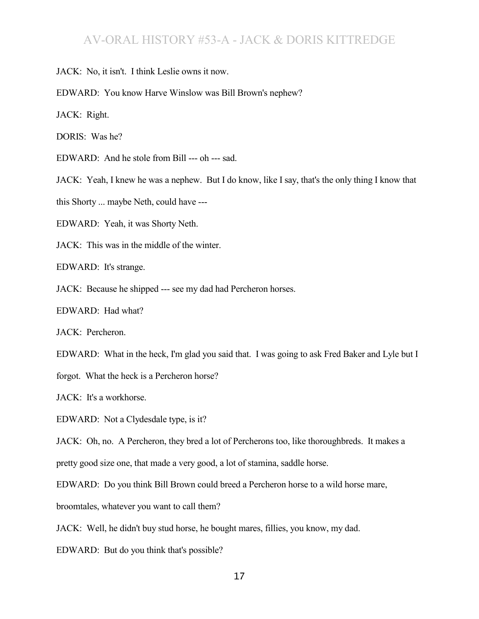JACK: No, it isn't. I think Leslie owns it now.

EDWARD: You know Harve Winslow was Bill Brown's nephew?

JACK: Right.

DORIS: Was he?

EDWARD: And he stole from Bill --- oh --- sad.

JACK: Yeah, I knew he was a nephew. But I do know, like I say, that's the only thing I know that

this Shorty ... maybe Neth, could have ---

EDWARD: Yeah, it was Shorty Neth.

JACK: This was in the middle of the winter.

EDWARD: It's strange.

JACK: Because he shipped --- see my dad had Percheron horses.

EDWARD: Had what?

JACK: Percheron.

EDWARD: What in the heck, I'm glad you said that. I was going to ask Fred Baker and Lyle but I

forgot. What the heck is a Percheron horse?

JACK: It's a workhorse.

EDWARD: Not a Clydesdale type, is it?

JACK: Oh, no. A Percheron, they bred a lot of Percherons too, like thoroughbreds. It makes a pretty good size one, that made a very good, a lot of stamina, saddle horse.

EDWARD: Do you think Bill Brown could breed a Percheron horse to a wild horse mare,

broomtales, whatever you want to call them?

JACK: Well, he didn't buy stud horse, he bought mares, fillies, you know, my dad.

EDWARD: But do you think that's possible?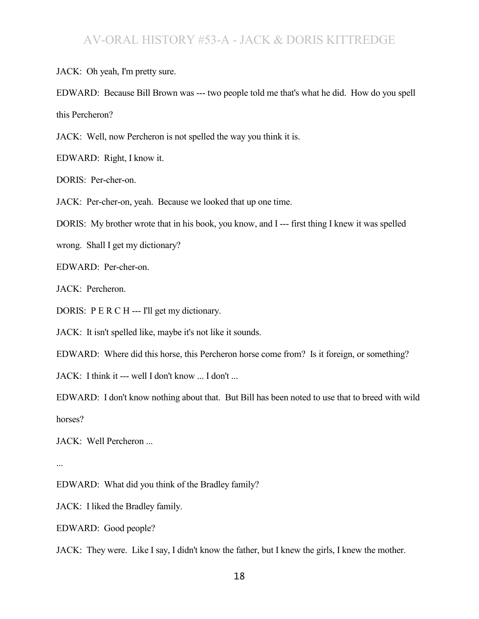JACK: Oh yeah, I'm pretty sure.

EDWARD: Because Bill Brown was --- two people told me that's what he did. How do you spell this Percheron?

JACK: Well, now Percheron is not spelled the way you think it is.

EDWARD: Right, I know it.

DORIS: Per-cher-on.

JACK: Per-cher-on, yeah. Because we looked that up one time.

DORIS: My brother wrote that in his book, you know, and I --- first thing I knew it was spelled

wrong. Shall I get my dictionary?

EDWARD: Per-cher-on.

JACK: Percheron.

DORIS: P E R C H --- I'll get my dictionary.

JACK: It isn't spelled like, maybe it's not like it sounds.

EDWARD: Where did this horse, this Percheron horse come from? Is it foreign, or something?

JACK: I think it --- well I don't know ... I don't ...

EDWARD: I don't know nothing about that. But Bill has been noted to use that to breed with wild horses?

JACK: Well Percheron ...

...

EDWARD: What did you think of the Bradley family?

JACK: I liked the Bradley family.

EDWARD: Good people?

JACK: They were. Like I say, I didn't know the father, but I knew the girls, I knew the mother.

18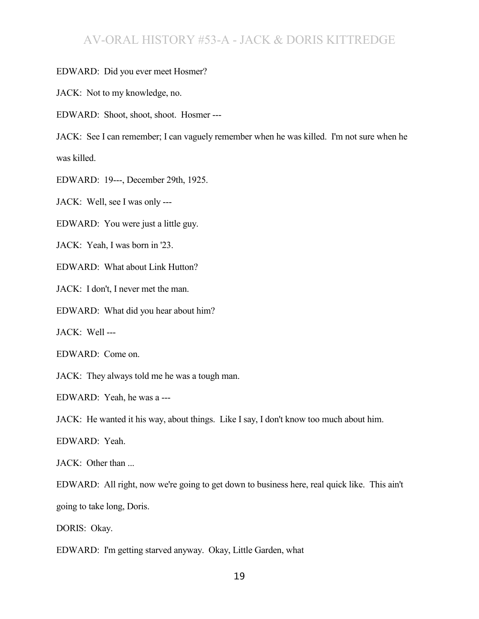#### EDWARD: Did you ever meet Hosmer?

JACK: Not to my knowledge, no.

EDWARD: Shoot, shoot, shoot. Hosmer ---

JACK: See I can remember; I can vaguely remember when he was killed. I'm not sure when he was killed.

EDWARD: 19---, December 29th, 1925.

JACK: Well, see I was only ---

EDWARD: You were just a little guy.

JACK: Yeah, I was born in '23.

EDWARD: What about Link Hutton?

JACK: I don't, I never met the man.

EDWARD: What did you hear about him?

JACK: Well ---

EDWARD: Come on.

JACK: They always told me he was a tough man.

EDWARD: Yeah, he was a ---

JACK: He wanted it his way, about things. Like I say, I don't know too much about him.

EDWARD: Yeah.

JACK: Other than ...

EDWARD: All right, now we're going to get down to business here, real quick like. This ain't going to take long, Doris.

DORIS: Okay.

EDWARD: I'm getting starved anyway. Okay, Little Garden, what

19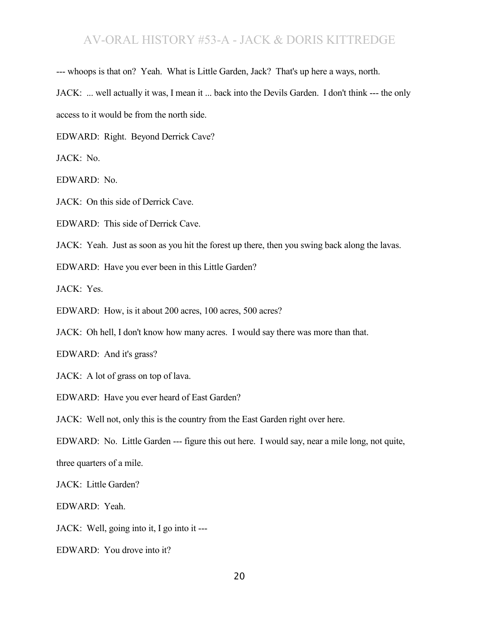--- whoops is that on? Yeah. What is Little Garden, Jack? That's up here a ways, north.

JACK: ... well actually it was, I mean it ... back into the Devils Garden. I don't think --- the only access to it would be from the north side.

EDWARD: Right. Beyond Derrick Cave?

JACK: No.

EDWARD: No.

JACK: On this side of Derrick Cave.

EDWARD: This side of Derrick Cave.

JACK: Yeah. Just as soon as you hit the forest up there, then you swing back along the lavas.

EDWARD: Have you ever been in this Little Garden?

JACK: Yes.

EDWARD: How, is it about 200 acres, 100 acres, 500 acres?

JACK: Oh hell, I don't know how many acres. I would say there was more than that.

EDWARD: And it's grass?

JACK: A lot of grass on top of lava.

EDWARD: Have you ever heard of East Garden?

JACK: Well not, only this is the country from the East Garden right over here.

EDWARD: No. Little Garden --- figure this out here. I would say, near a mile long, not quite,

three quarters of a mile.

JACK: Little Garden?

EDWARD: Yeah.

JACK: Well, going into it, I go into it ---

EDWARD: You drove into it?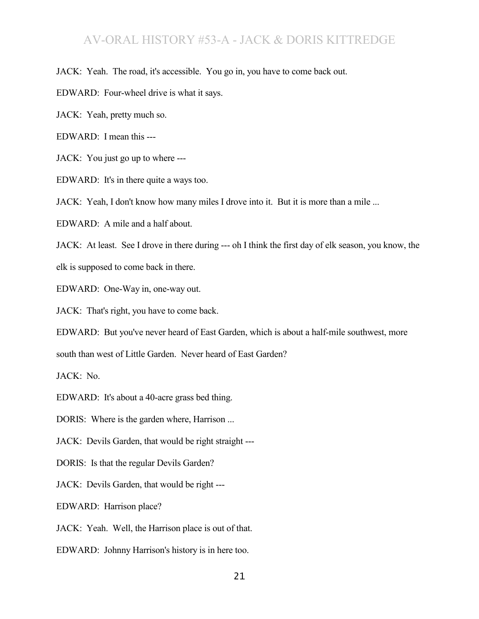JACK: Yeah. The road, it's accessible. You go in, you have to come back out.

EDWARD: Four-wheel drive is what it says.

JACK: Yeah, pretty much so.

EDWARD: I mean this ---

JACK: You just go up to where ---

EDWARD: It's in there quite a ways too.

JACK: Yeah, I don't know how many miles I drove into it. But it is more than a mile ...

EDWARD: A mile and a half about.

JACK: At least. See I drove in there during --- oh I think the first day of elk season, you know, the elk is supposed to come back in there.

EDWARD: One-Way in, one-way out.

JACK: That's right, you have to come back.

EDWARD: But you've never heard of East Garden, which is about a half-mile southwest, more

south than west of Little Garden. Never heard of East Garden?

JACK: No.

EDWARD: It's about a 40-acre grass bed thing.

DORIS: Where is the garden where, Harrison ...

JACK: Devils Garden, that would be right straight ---

DORIS: Is that the regular Devils Garden?

JACK: Devils Garden, that would be right ---

EDWARD: Harrison place?

JACK: Yeah. Well, the Harrison place is out of that.

EDWARD: Johnny Harrison's history is in here too.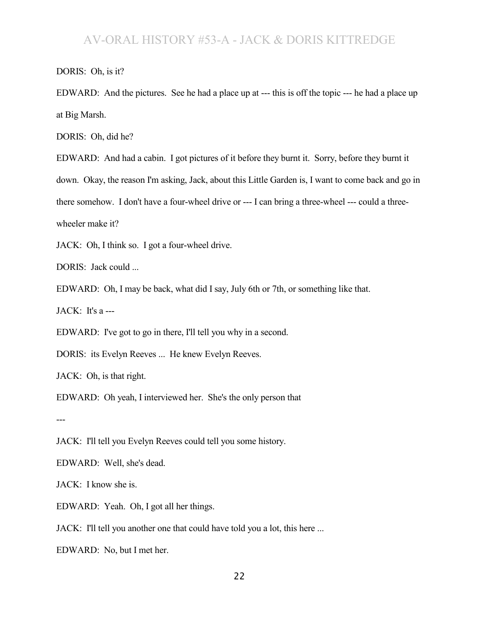DORIS: Oh, is it?

EDWARD: And the pictures. See he had a place up at --- this is off the topic --- he had a place up at Big Marsh.

DORIS: Oh, did he?

EDWARD: And had a cabin. I got pictures of it before they burnt it. Sorry, before they burnt it down. Okay, the reason I'm asking, Jack, about this Little Garden is, I want to come back and go in there somehow. I don't have a four-wheel drive or --- I can bring a three-wheel --- could a threewheeler make it?

JACK: Oh, I think so. I got a four-wheel drive.

DORIS: Jack could ...

EDWARD: Oh, I may be back, what did I say, July 6th or 7th, or something like that.

JACK: It's a ---

EDWARD: I've got to go in there, I'll tell you why in a second.

DORIS: its Evelyn Reeves ... He knew Evelyn Reeves.

JACK: Oh, is that right.

EDWARD: Oh yeah, I interviewed her. She's the only person that

---

JACK: I'll tell you Evelyn Reeves could tell you some history.

EDWARD: Well, she's dead.

JACK: I know she is.

EDWARD: Yeah. Oh, I got all her things.

JACK: I'll tell you another one that could have told you a lot, this here ...

EDWARD: No, but I met her.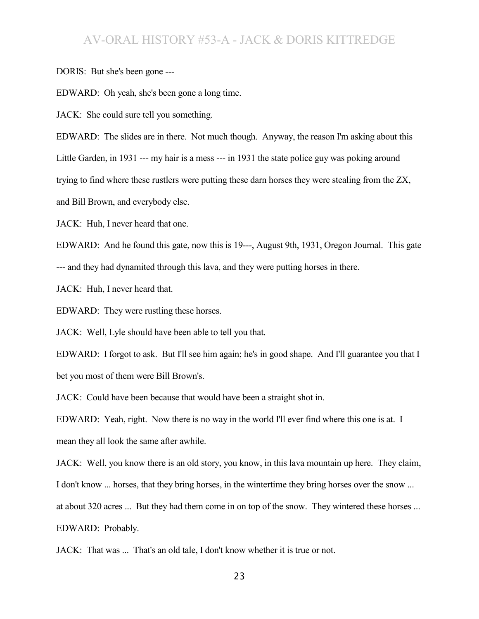DORIS: But she's been gone ---

EDWARD: Oh yeah, she's been gone a long time.

JACK: She could sure tell you something.

EDWARD: The slides are in there. Not much though. Anyway, the reason I'm asking about this Little Garden, in 1931 --- my hair is a mess --- in 1931 the state police guy was poking around trying to find where these rustlers were putting these darn horses they were stealing from the ZX, and Bill Brown, and everybody else.

JACK: Huh, I never heard that one.

EDWARD: And he found this gate, now this is 19---, August 9th, 1931, Oregon Journal. This gate --- and they had dynamited through this lava, and they were putting horses in there.

JACK: Huh, I never heard that.

EDWARD: They were rustling these horses.

JACK: Well, Lyle should have been able to tell you that.

EDWARD: I forgot to ask. But I'll see him again; he's in good shape. And I'll guarantee you that I bet you most of them were Bill Brown's.

JACK: Could have been because that would have been a straight shot in.

EDWARD: Yeah, right. Now there is no way in the world I'll ever find where this one is at. I mean they all look the same after awhile.

JACK: Well, you know there is an old story, you know, in this lava mountain up here. They claim,

I don't know ... horses, that they bring horses, in the wintertime they bring horses over the snow ...

at about 320 acres ... But they had them come in on top of the snow. They wintered these horses ...

EDWARD: Probably.

JACK: That was ... That's an old tale, I don't know whether it is true or not.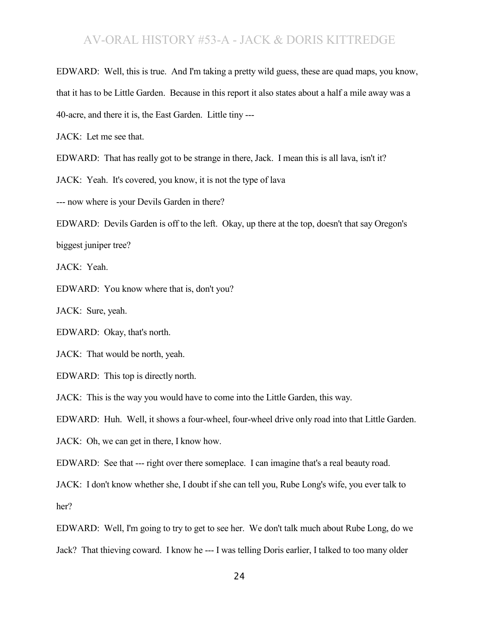EDWARD: Well, this is true. And I'm taking a pretty wild guess, these are quad maps, you know, that it has to be Little Garden. Because in this report it also states about a half a mile away was a 40-acre, and there it is, the East Garden. Little tiny ---

JACK: Let me see that.

EDWARD: That has really got to be strange in there, Jack. I mean this is all lava, isn't it?

JACK: Yeah. It's covered, you know, it is not the type of lava

--- now where is your Devils Garden in there?

EDWARD: Devils Garden is off to the left. Okay, up there at the top, doesn't that say Oregon's biggest juniper tree?

JACK: Yeah.

EDWARD: You know where that is, don't you?

JACK: Sure, yeah.

EDWARD: Okay, that's north.

JACK: That would be north, yeah.

EDWARD: This top is directly north.

JACK: This is the way you would have to come into the Little Garden, this way.

EDWARD: Huh. Well, it shows a four-wheel, four-wheel drive only road into that Little Garden.

JACK: Oh, we can get in there, I know how.

EDWARD: See that --- right over there someplace. I can imagine that's a real beauty road.

JACK: I don't know whether she, I doubt if she can tell you, Rube Long's wife, you ever talk to her?

EDWARD: Well, I'm going to try to get to see her. We don't talk much about Rube Long, do we Jack? That thieving coward. I know he --- I was telling Doris earlier, I talked to too many older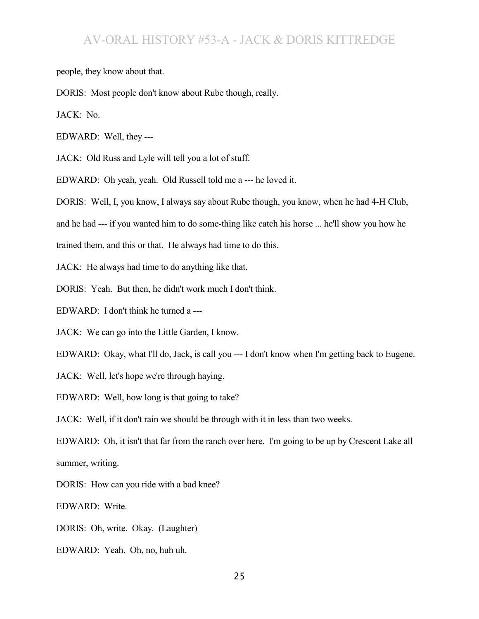people, they know about that.

DORIS: Most people don't know about Rube though, really.

JACK: No.

EDWARD: Well, they ---

JACK: Old Russ and Lyle will tell you a lot of stuff.

EDWARD: Oh yeah, yeah. Old Russell told me a --- he loved it.

DORIS: Well, I, you know, I always say about Rube though, you know, when he had 4-H Club,

and he had --- if you wanted him to do some-thing like catch his horse ... he'll show you how he

trained them, and this or that. He always had time to do this.

JACK: He always had time to do anything like that.

DORIS: Yeah. But then, he didn't work much I don't think.

EDWARD: I don't think he turned a ---

JACK: We can go into the Little Garden, I know.

EDWARD: Okay, what I'll do, Jack, is call you --- I don't know when I'm getting back to Eugene.

JACK: Well, let's hope we're through haying.

EDWARD: Well, how long is that going to take?

JACK: Well, if it don't rain we should be through with it in less than two weeks.

EDWARD: Oh, it isn't that far from the ranch over here. I'm going to be up by Crescent Lake all summer, writing.

DORIS: How can you ride with a bad knee?

EDWARD: Write.

DORIS: Oh, write. Okay. (Laughter)

EDWARD: Yeah. Oh, no, huh uh.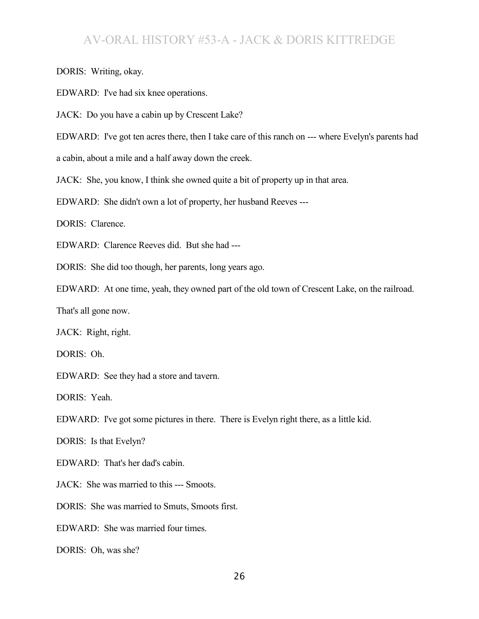DORIS: Writing, okay.

EDWARD: I've had six knee operations.

JACK: Do you have a cabin up by Crescent Lake?

EDWARD: I've got ten acres there, then I take care of this ranch on --- where Evelyn's parents had

a cabin, about a mile and a half away down the creek.

JACK: She, you know, I think she owned quite a bit of property up in that area.

EDWARD: She didn't own a lot of property, her husband Reeves ---

DORIS: Clarence.

EDWARD: Clarence Reeves did. But she had ---

DORIS: She did too though, her parents, long years ago.

EDWARD: At one time, yeah, they owned part of the old town of Crescent Lake, on the railroad.

That's all gone now.

JACK: Right, right.

DORIS: Oh.

EDWARD: See they had a store and tavern.

DORIS: Yeah.

EDWARD: I've got some pictures in there. There is Evelyn right there, as a little kid.

DORIS: Is that Evelyn?

EDWARD: That's her dad's cabin.

JACK: She was married to this --- Smoots.

DORIS: She was married to Smuts, Smoots first.

EDWARD: She was married four times.

DORIS: Oh, was she?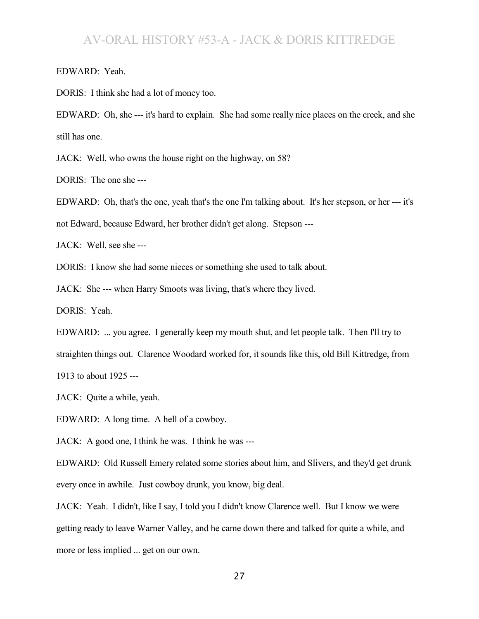EDWARD: Yeah.

DORIS: I think she had a lot of money too.

EDWARD: Oh, she --- it's hard to explain. She had some really nice places on the creek, and she still has one.

JACK: Well, who owns the house right on the highway, on 58?

DORIS: The one she ---

EDWARD: Oh, that's the one, yeah that's the one I'm talking about. It's her stepson, or her --- it's not Edward, because Edward, her brother didn't get along. Stepson ---

JACK: Well, see she ---

DORIS: I know she had some nieces or something she used to talk about.

JACK: She --- when Harry Smoots was living, that's where they lived.

DORIS: Yeah.

EDWARD: ... you agree. I generally keep my mouth shut, and let people talk. Then I'll try to straighten things out. Clarence Woodard worked for, it sounds like this, old Bill Kittredge, from 1913 to about 1925 ---

JACK: Quite a while, yeah.

EDWARD: A long time. A hell of a cowboy.

JACK: A good one, I think he was. I think he was ---

EDWARD: Old Russell Emery related some stories about him, and Slivers, and they'd get drunk every once in awhile. Just cowboy drunk, you know, big deal.

JACK: Yeah. I didn't, like I say, I told you I didn't know Clarence well. But I know we were getting ready to leave Warner Valley, and he came down there and talked for quite a while, and more or less implied ... get on our own.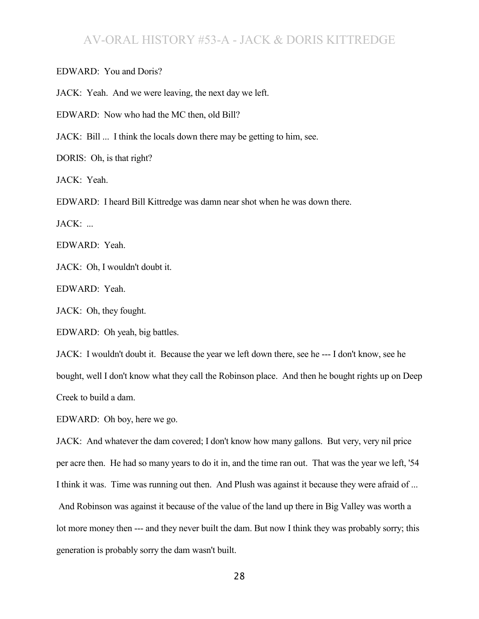EDWARD: You and Doris?

JACK: Yeah. And we were leaving, the next day we left.

EDWARD: Now who had the MC then, old Bill?

JACK: Bill ... I think the locals down there may be getting to him, see.

DORIS: Oh, is that right?

JACK: Yeah.

EDWARD: I heard Bill Kittredge was damn near shot when he was down there.

JACK: ...

EDWARD: Yeah.

JACK: Oh, I wouldn't doubt it.

EDWARD: Yeah.

JACK: Oh, they fought.

EDWARD: Oh yeah, big battles.

JACK: I wouldn't doubt it. Because the year we left down there, see he --- I don't know, see he bought, well I don't know what they call the Robinson place. And then he bought rights up on Deep Creek to build a dam.

EDWARD: Oh boy, here we go.

JACK: And whatever the dam covered; I don't know how many gallons. But very, very nil price per acre then. He had so many years to do it in, and the time ran out. That was the year we left, '54 I think it was. Time was running out then. And Plush was against it because they were afraid of ... And Robinson was against it because of the value of the land up there in Big Valley was worth a lot more money then --- and they never built the dam. But now I think they was probably sorry; this generation is probably sorry the dam wasn't built.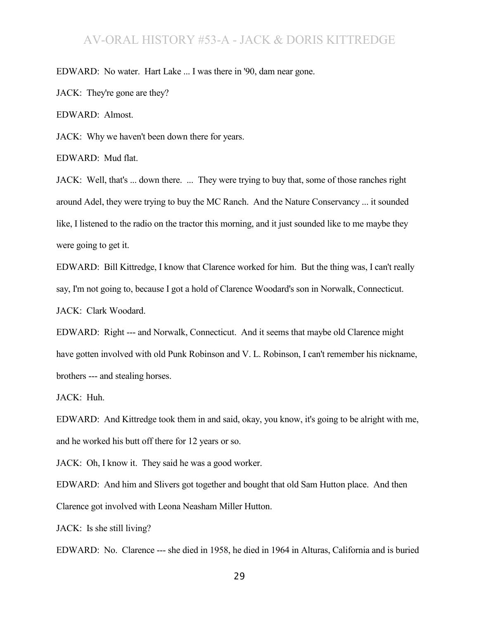EDWARD: No water. Hart Lake ... I was there in '90, dam near gone.

JACK: They're gone are they?

EDWARD: Almost.

JACK: Why we haven't been down there for years.

EDWARD: Mud flat.

JACK: Well, that's ... down there. ... They were trying to buy that, some of those ranches right around Adel, they were trying to buy the MC Ranch. And the Nature Conservancy ... it sounded like, I listened to the radio on the tractor this morning, and it just sounded like to me maybe they were going to get it.

EDWARD: Bill Kittredge, I know that Clarence worked for him. But the thing was, I can't really say, I'm not going to, because I got a hold of Clarence Woodard's son in Norwalk, Connecticut. JACK: Clark Woodard.

EDWARD: Right --- and Norwalk, Connecticut. And it seems that maybe old Clarence might have gotten involved with old Punk Robinson and V. L. Robinson, I can't remember his nickname, brothers --- and stealing horses.

JACK: Huh.

EDWARD: And Kittredge took them in and said, okay, you know, it's going to be alright with me, and he worked his butt off there for 12 years or so.

JACK: Oh, I know it. They said he was a good worker.

EDWARD: And him and Slivers got together and bought that old Sam Hutton place. And then Clarence got involved with Leona Neasham Miller Hutton.

JACK: Is she still living?

EDWARD: No. Clarence --- she died in 1958, he died in 1964 in Alturas, California and is buried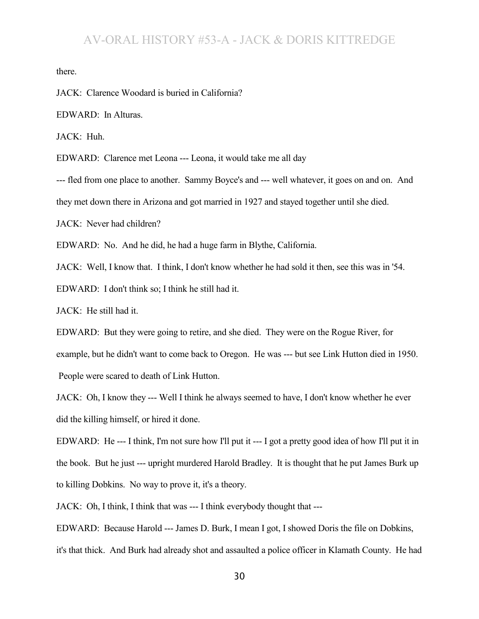there.

JACK: Clarence Woodard is buried in California?

EDWARD: In Alturas.

JACK: Huh.

EDWARD: Clarence met Leona --- Leona, it would take me all day

--- fled from one place to another. Sammy Boyce's and --- well whatever, it goes on and on. And

they met down there in Arizona and got married in 1927 and stayed together until she died.

JACK: Never had children?

EDWARD: No. And he did, he had a huge farm in Blythe, California.

JACK: Well, I know that. I think, I don't know whether he had sold it then, see this was in '54.

EDWARD: I don't think so; I think he still had it.

JACK: He still had it.

EDWARD: But they were going to retire, and she died. They were on the Rogue River, for example, but he didn't want to come back to Oregon. He was --- but see Link Hutton died in 1950. People were scared to death of Link Hutton.

JACK: Oh, I know they --- Well I think he always seemed to have, I don't know whether he ever did the killing himself, or hired it done.

EDWARD: He --- I think, I'm not sure how I'll put it --- I got a pretty good idea of how I'll put it in the book. But he just --- upright murdered Harold Bradley. It is thought that he put James Burk up to killing Dobkins. No way to prove it, it's a theory.

JACK: Oh, I think, I think that was --- I think everybody thought that ---

EDWARD: Because Harold --- James D. Burk, I mean I got, I showed Doris the file on Dobkins,

it's that thick. And Burk had already shot and assaulted a police officer in Klamath County. He had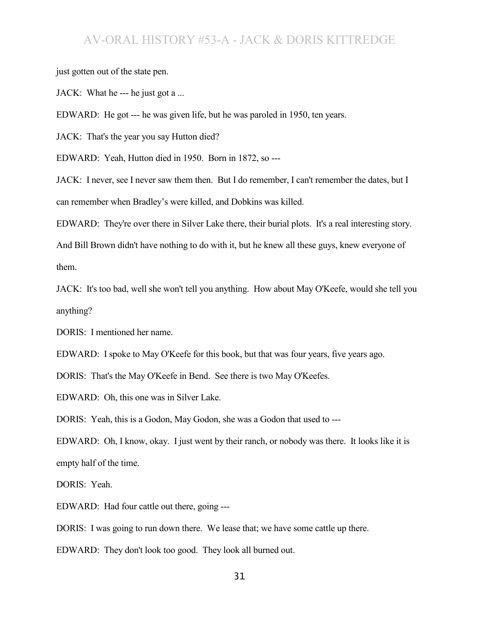just gotten out of the state pen.

JACK: What he --- he just got a ...

EDWARD: He got --- he was given life, but he was paroled in 1950, ten years.

JACK: That's the year you say Hutton died?

EDWARD: Yeah, Hutton died in 1950. Born in 1872, so ---

JACK: I never, see I never saw them then. But I do remember, I can't remember the dates, but I can remember when Bradley's were killed, and Dobkins was killed.

EDWARD: They're over there in Silver Lake there, their burial plots. It's a real interesting story.

And Bill Brown didn't have nothing to do with it, but he knew all these guys, knew everyone of them.

JACK: It's too bad, well she won't tell you anything. How about May O'Keefe, would she tell you anything?

DORIS: I mentioned her name.

EDWARD: I spoke to May O'Keefe for this book, but that was four years, five years ago.

DORIS: That's the May O'Keefe in Bend. See there is two May O'Keefes.

EDWARD: Oh, this one was in Silver Lake.

DORIS: Yeah, this is a Godon, May Godon, she was a Godon that used to ---

EDWARD: Oh, I know, okay. I just went by their ranch, or nobody was there. It looks like it is empty half of the time.

DORIS: Yeah.

EDWARD: Had four cattle out there, going ---

DORIS: I was going to run down there. We lease that; we have some cattle up there.

EDWARD: They don't look too good. They look all burned out.